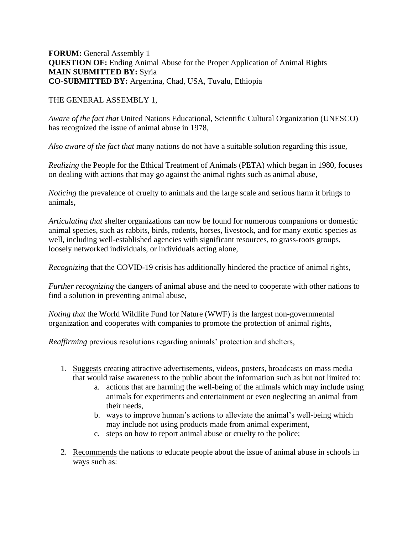## **FORUM:** General Assembly 1 **QUESTION OF:** Ending Animal Abuse for the Proper Application of Animal Rights **MAIN SUBMITTED BY:** Syria **CO-SUBMITTED BY:** Argentina, Chad, USA, Tuvalu, Ethiopia

## THE GENERAL ASSEMBLY 1,

*Aware of the fact that* United Nations Educational, Scientific Cultural Organization (UNESCO) has recognized the issue of animal abuse in 1978,

*Also aware of the fact that* many nations do not have a suitable solution regarding this issue,

*Realizing* the People for the Ethical Treatment of Animals (PETA) which began in 1980, focuses on dealing with actions that may go against the animal rights such as animal abuse,

*Noticing* the prevalence of cruelty to animals and the large scale and serious harm it brings to animals,

*Articulating that* shelter organizations can now be found for numerous companions or domestic animal species, such as rabbits, birds, rodents, horses, livestock, and for many exotic species as well, including well-established agencies with significant resources, to grass-roots groups, loosely networked individuals, or individuals acting alone,

*Recognizing* that the COVID-19 crisis has additionally hindered the practice of animal rights,

*Further recognizing* the dangers of animal abuse and the need to cooperate with other nations to find a solution in preventing animal abuse,

*Noting that* the World Wildlife Fund for Nature (WWF) is the largest non-governmental organization and cooperates with companies to promote the protection of animal rights,

*Reaffirming* previous resolutions regarding animals' protection and shelters,

- 1. Suggests creating attractive advertisements, videos, posters, broadcasts on mass media that would raise awareness to the public about the information such as but not limited to:
	- a. actions that are harming the well-being of the animals which may include using animals for experiments and entertainment or even neglecting an animal from their needs,
	- b. ways to improve human's actions to alleviate the animal's well-being which may include not using products made from animal experiment,
	- c. steps on how to report animal abuse or cruelty to the police;
- 2. Recommends the nations to educate people about the issue of animal abuse in schools in ways such as: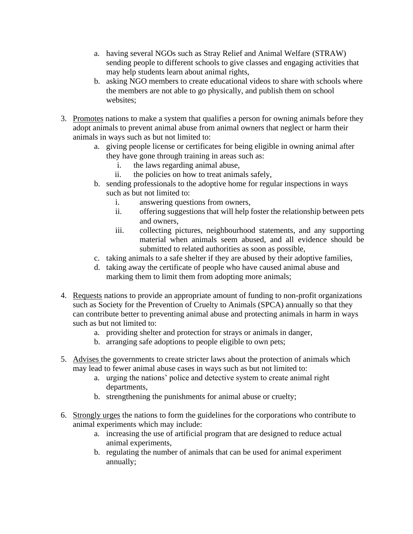- a. having several NGOs such as Stray Relief and Animal Welfare (STRAW) sending people to different schools to give classes and engaging activities that may help students learn about animal rights,
- b. asking NGO members to create educational videos to share with schools where the members are not able to go physically, and publish them on school websites;
- 3. Promotes nations to make a system that qualifies a person for owning animals before they adopt animals to prevent animal abuse from animal owners that neglect or harm their animals in ways such as but not limited to:
	- a. giving people license or certificates for being eligible in owning animal after they have gone through training in areas such as:
		- i. the laws regarding animal abuse,
		- ii. the policies on how to treat animals safely,
	- b. sending professionals to the adoptive home for regular inspections in ways such as but not limited to:
		- i. answering questions from owners,
		- ii. offering suggestions that will help foster the relationship between pets and owners,
		- iii. collecting pictures, neighbourhood statements, and any supporting material when animals seem abused, and all evidence should be submitted to related authorities as soon as possible,
	- c. taking animals to a safe shelter if they are abused by their adoptive families,
	- d. taking away the certificate of people who have caused animal abuse and marking them to limit them from adopting more animals;
- 4. Requests nations to provide an appropriate amount of funding to non-profit organizations such as Society for the Prevention of Cruelty to Animals (SPCA) annually so that they can contribute better to preventing animal abuse and protecting animals in harm in ways such as but not limited to:
	- a. providing shelter and protection for strays or animals in danger,
	- b. arranging safe adoptions to people eligible to own pets;
- 5. Advises the governments to create stricter laws about the protection of animals which may lead to fewer animal abuse cases in ways such as but not limited to:
	- a. urging the nations' police and detective system to create animal right departments,
	- b. strengthening the punishments for animal abuse or cruelty;
- 6. Strongly urges the nations to form the guidelines for the corporations who contribute to animal experiments which may include:
	- a. increasing the use of artificial program that are designed to reduce actual animal experiments,
	- b. regulating the number of animals that can be used for animal experiment annually;